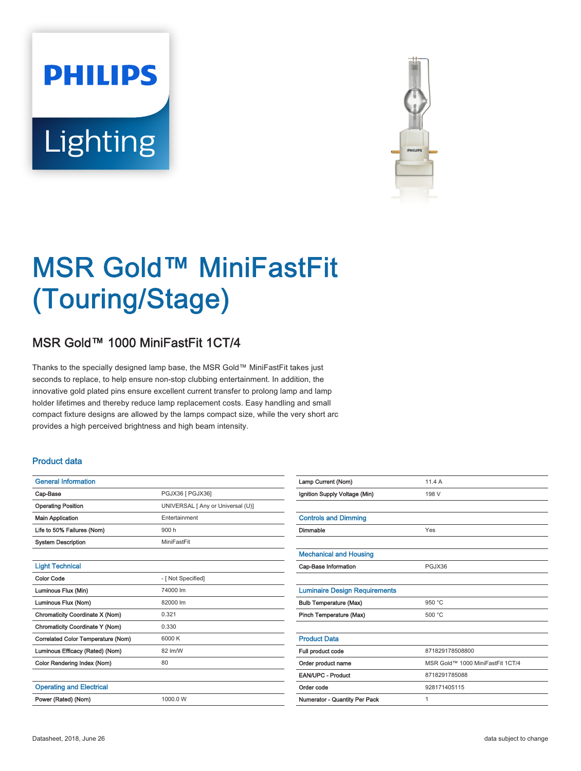# **PHILIPS** Lighting



# MSR Gold™ MiniFastFit (Touring/Stage)

## MSR Gold™ 1000 MiniFastFit 1CT/4

Thanks to the specially designed lamp base, the MSR Gold™ MiniFastFit takes just seconds to replace, to help ensure non-stop clubbing entertainment. In addition, the innovative gold plated pins ensure excellent current transfer to prolong lamp and lamp holder lifetimes and thereby reduce lamp replacement costs. Easy handling and small compact fixture designs are allowed by the lamps compact size, while the very short arc provides a high perceived brightness and high beam intensity.

#### Product data

| <b>General Information</b>         |                                   |  |  |  |  |  |
|------------------------------------|-----------------------------------|--|--|--|--|--|
| Cap-Base                           | PGJX36 [ PGJX36]                  |  |  |  |  |  |
| <b>Operating Position</b>          | UNIVERSAL [ Any or Universal (U)] |  |  |  |  |  |
| <b>Main Application</b>            | Entertainment                     |  |  |  |  |  |
| Life to 50% Failures (Nom)         | 900 h                             |  |  |  |  |  |
| <b>System Description</b>          | MiniFastFit                       |  |  |  |  |  |
|                                    |                                   |  |  |  |  |  |
| <b>Light Technical</b>             |                                   |  |  |  |  |  |
| <b>Color Code</b>                  | - [ Not Specified]                |  |  |  |  |  |
| Luminous Flux (Min)                | 74000 lm                          |  |  |  |  |  |
| Luminous Flux (Nom)                | 82000 lm                          |  |  |  |  |  |
| Chromaticity Coordinate X (Nom)    | 0.321                             |  |  |  |  |  |
| Chromaticity Coordinate Y (Nom)    | 0.330                             |  |  |  |  |  |
| Correlated Color Temperature (Nom) | 6000 K                            |  |  |  |  |  |
| Luminous Efficacy (Rated) (Nom)    | 82 lm/W                           |  |  |  |  |  |
| Color Rendering Index (Nom)        | 80                                |  |  |  |  |  |
|                                    |                                   |  |  |  |  |  |
| <b>Operating and Electrical</b>    |                                   |  |  |  |  |  |
| Power (Rated) (Nom)                | 1000.0 W                          |  |  |  |  |  |
|                                    |                                   |  |  |  |  |  |

| Lamp Current (Nom)                   | 11.4A                            |  |  |  |  |
|--------------------------------------|----------------------------------|--|--|--|--|
| Ignition Supply Voltage (Min)        | 198 V                            |  |  |  |  |
|                                      |                                  |  |  |  |  |
| <b>Controls and Dimming</b>          |                                  |  |  |  |  |
| Dimmable                             | Yes                              |  |  |  |  |
|                                      |                                  |  |  |  |  |
| <b>Mechanical and Housing</b>        |                                  |  |  |  |  |
| Cap-Base Information                 | PGJX36                           |  |  |  |  |
|                                      |                                  |  |  |  |  |
| <b>Luminaire Design Requirements</b> |                                  |  |  |  |  |
| <b>Bulb Temperature (Max)</b>        | 950 °C                           |  |  |  |  |
| Pinch Temperature (Max)              | 500 °C                           |  |  |  |  |
|                                      |                                  |  |  |  |  |
| <b>Product Data</b>                  |                                  |  |  |  |  |
| Full product code                    | 871829178508800                  |  |  |  |  |
| Order product name                   | MSR Gold™ 1000 MiniFastFit 1CT/4 |  |  |  |  |
| <b>EAN/UPC - Product</b>             | 8718291785088                    |  |  |  |  |
| Order code                           | 928171405115                     |  |  |  |  |
| Numerator - Quantity Per Pack        | 1                                |  |  |  |  |
|                                      |                                  |  |  |  |  |